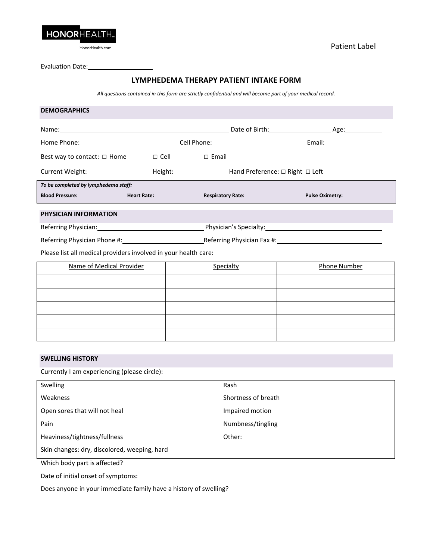

Evaluation Date:

# **LYMPHEDEMA THERAPY PATIENT INTAKE FORM**

*All questions contained in this form are strictly confidential and will become part of your medical record.*

| <b>DEMOGRAPHICS</b>                                             |                    |                                           |                                                                                                               |  |  |  |
|-----------------------------------------------------------------|--------------------|-------------------------------------------|---------------------------------------------------------------------------------------------------------------|--|--|--|
|                                                                 |                    |                                           |                                                                                                               |  |  |  |
|                                                                 |                    |                                           | Home Phone: 1990 Cell Phone: 1990 Cell Phone: 1990 Cell Phone: 1990 Cell Phone: 2000 Cell Phone: 2000 Central |  |  |  |
| Best way to contact: $\Box$ Home                                | $\Box$ Cell $\Box$ | $\Box$ Email                              |                                                                                                               |  |  |  |
| Current Weight:                                                 | Height:            | Hand Preference: $\Box$ Right $\Box$ Left |                                                                                                               |  |  |  |
| To be completed by lymphedema staff:                            |                    |                                           |                                                                                                               |  |  |  |
| <b>Blood Pressure:</b>                                          | <b>Heart Rate:</b> | <b>Respiratory Rate:</b>                  | <b>Pulse Oximetry:</b>                                                                                        |  |  |  |
| PHYSICIAN INFORMATION                                           |                    |                                           |                                                                                                               |  |  |  |
|                                                                 |                    |                                           | Referring Physician: 1990 Contract Physician's Specialty: 2008 Physician's Specialty:                         |  |  |  |
|                                                                 |                    |                                           |                                                                                                               |  |  |  |
| Please list all medical providers involved in your health care: |                    |                                           |                                                                                                               |  |  |  |
| Name of Medical Provider                                        |                    | Specialty                                 | <b>Phone Number</b>                                                                                           |  |  |  |
|                                                                 |                    |                                           |                                                                                                               |  |  |  |
|                                                                 |                    |                                           |                                                                                                               |  |  |  |
|                                                                 |                    |                                           |                                                                                                               |  |  |  |
|                                                                 |                    |                                           |                                                                                                               |  |  |  |
|                                                                 |                    |                                           |                                                                                                               |  |  |  |
|                                                                 |                    |                                           |                                                                                                               |  |  |  |
| <b>SWELLING HISTORY</b>                                         |                    |                                           |                                                                                                               |  |  |  |

Currently I am experiencing (please circle):

| <b>Swelling</b>                              | Rash                |
|----------------------------------------------|---------------------|
| Weakness                                     | Shortness of breath |
| Open sores that will not heal                | Impaired motion     |
| Pain                                         | Numbness/tingling   |
| Heaviness/tightness/fullness                 | Other:              |
| Skin changes: dry, discolored, weeping, hard |                     |
|                                              |                     |

Which body part is affected?

Date of initial onset of symptoms:

Does anyone in your immediate family have a history of swelling?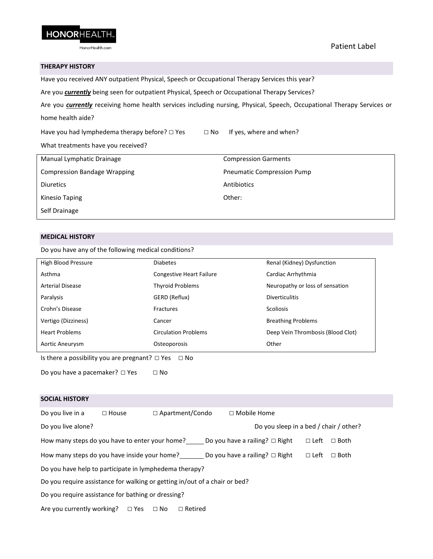

## **THERAPY HISTORY**

Have you received ANY outpatient Physical, Speech or Occupational Therapy Services this year?

Are you *currently* being seen for outpatient Physical, Speech or Occupational Therapy Services?

Are you *currently* receiving home health services including nursing, Physical, Speech, Occupational Therapy Services or home health aide?

Have you had lymphedema therapy before?  $\Box$  Yes  $\Box$  No If yes, where and when?

What treatments have you received?

| Manual Lymphatic Drainage           | <b>Compression Garments</b>       |
|-------------------------------------|-----------------------------------|
| <b>Compression Bandage Wrapping</b> | <b>Pneumatic Compression Pump</b> |
| <b>Diuretics</b>                    | Antibiotics                       |
| Kinesio Taping                      | Other:                            |
| Self Drainage                       |                                   |

## **MEDICAL HISTORY**

Do you have any of the following medical conditions?

| High Blood Pressure                                                                                             | <b>Diabetes</b>                 | Renal (Kidney) Dysfunction        |  |  |  |
|-----------------------------------------------------------------------------------------------------------------|---------------------------------|-----------------------------------|--|--|--|
| Asthma                                                                                                          | <b>Congestive Heart Failure</b> | Cardiac Arrhythmia                |  |  |  |
| Arterial Disease                                                                                                | <b>Thyroid Problems</b>         | Neuropathy or loss of sensation   |  |  |  |
| Paralysis                                                                                                       | GERD (Reflux)                   | <b>Diverticulitis</b>             |  |  |  |
| Crohn's Disease                                                                                                 | <b>Fractures</b>                | <b>Scoliosis</b>                  |  |  |  |
| Vertigo (Dizziness)                                                                                             | Cancer                          | <b>Breathing Problems</b>         |  |  |  |
| <b>Heart Problems</b>                                                                                           | <b>Circulation Problems</b>     | Deep Vein Thrombosis (Blood Clot) |  |  |  |
| Aortic Aneurysm                                                                                                 | Osteoporosis                    | Other                             |  |  |  |
| The discussion of the still the company of the company of the Common County and the County of the County of the |                                 |                                   |  |  |  |

Is there a possibility you are pregnant?  $\Box$  Yes  $\Box$  No

Do you have a pacemaker? □ Yes □ No

| Do you live in a                                                           | $\Box$ House |  | $\Box$ Apartment/Condo | $\Box$ Mobile Home                                                                 |                                        |             |
|----------------------------------------------------------------------------|--------------|--|------------------------|------------------------------------------------------------------------------------|----------------------------------------|-------------|
| Do you live alone?                                                         |              |  |                        |                                                                                    | Do you sleep in a bed / chair / other? |             |
|                                                                            |              |  |                        | How many steps do you have to enter your home? Do you have a railing? $\Box$ Right | $\Box$ Left                            | $\Box$ Both |
| How many steps do you have inside your home?                               |              |  |                        | Do you have a railing? $\Box$ Right                                                | $\Box$ Left                            | $\Box$ Both |
| Do you have help to participate in lymphedema therapy?                     |              |  |                        |                                                                                    |                                        |             |
| Do you require assistance for walking or getting in/out of a chair or bed? |              |  |                        |                                                                                    |                                        |             |
| Do you require assistance for bathing or dressing?                         |              |  |                        |                                                                                    |                                        |             |
| Are you currently working? $\Box$ Yes $\Box$ No                            |              |  | $\Box$ Retired         |                                                                                    |                                        |             |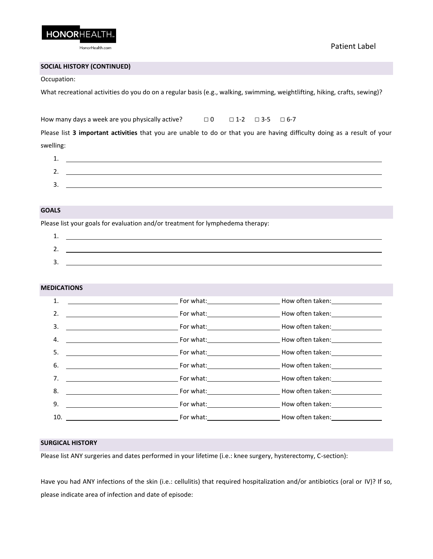

Patient Label

# **SOCIAL HISTORY (CONTINUED)**

#### Occupation:

What recreational activities do you do on a regular basis (e.g., walking, swimming, weightlifting, hiking, crafts, sewing)?

How many days a week are you physically active?  $\Box$  0  $\Box$  1-2  $\Box$  3-5  $\Box$  6-7

Please list **3 important activities** that you are unable to do or that you are having difficulty doing as a result of your swelling:

| ⊥. |  |
|----|--|
| ۷. |  |
| 3. |  |

# **GOALS**

Please list your goals for evaluation and/or treatment for lymphedema therapy:

| . .        |  |
|------------|--|
| <u>. .</u> |  |
| <u>.</u>   |  |

#### **MEDICATIONS**

| 1.  |                                                                                                                                                                                                                                      |
|-----|--------------------------------------------------------------------------------------------------------------------------------------------------------------------------------------------------------------------------------------|
| 2.  |                                                                                                                                                                                                                                      |
| 3.  |                                                                                                                                                                                                                                      |
| 4.  |                                                                                                                                                                                                                                      |
| 5.  | <b>Example 20 For what: Example 20 For what: Example 20 For what: Example 20 For What: Example 20 For What: Example 20 For What: Example 20 For What:</b> $\frac{1}{2}$                                                              |
| 6.  |                                                                                                                                                                                                                                      |
| 7.  | <b>Example 20 Formulate Control Control Control Control Control Control Control Control Control Control Control Control Control Control Control Control Control Control Control Control Control Control Control Control Control </b> |
| 8.  |                                                                                                                                                                                                                                      |
| 9.  | <b>Example 20 For what: Example 20 For what: Example 20 For what: Example 20 For What: Example 20 For What: Example 20 For What: Example 20 For What: Example 20 For What: Example 20 For What: Example 20 For</b>                   |
| 10. |                                                                                                                                                                                                                                      |

### **SURGICAL HISTORY**

Please list ANY surgeries and dates performed in your lifetime (i.e.: knee surgery, hysterectomy, C-section):

Have you had ANY infections of the skin (i.e.: cellulitis) that required hospitalization and/or antibiotics (oral or IV)? If so, please indicate area of infection and date of episode: